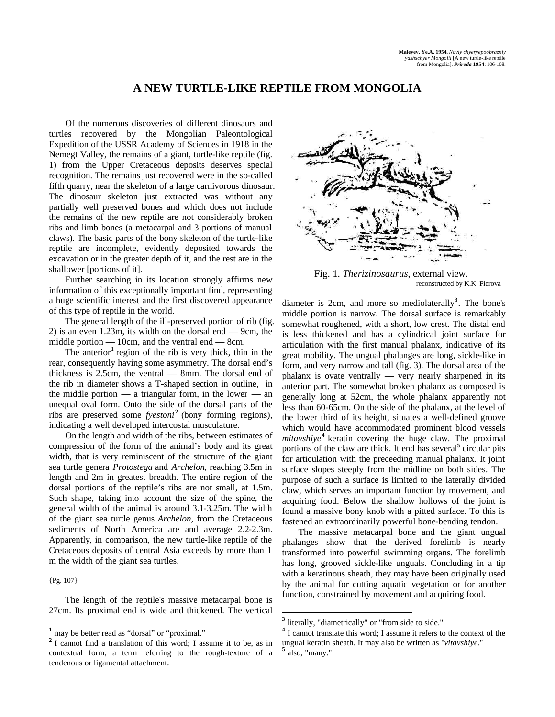## **A NEW TURTLE-LIKE REPTILE FROM MONGOLIA**

Of the numerous discoveries of different dinosaurs and turtles recovered by the Mongolian Paleontological Expedition of the USSR Academy of Sciences in 1918 in the Nemegt Valley, the remains of a giant, turtle-like reptile (fig. 1) from the Upper Cretaceous deposits deserves special recognition. The remains just recovered were in the so-called fifth quarry, near the skeleton of a large carnivorous dinosaur. The dinosaur skeleton just extracted was without any partially well preserved bones and which does not include the remains of the new reptile are not considerably broken ribs and limb bones (a metacarpal and 3 portions of manual claws). The basic parts of the bony skeleton of the turtle-like reptile are incomplete, evidently deposited towards the excavation or in the greater depth of it, and the rest are in the shallower [portions of it].

Further searching in its location strongly affirms new information of this exceptionally important find, representing a huge scientific interest and the first discovered appearance of this type of reptile in the world.

The general length of the ill-preserved portion of rib (fig. 2) is an even 1.23m, its width on the dorsal end — 9cm, the middle portion — 10cm, and the ventral end — 8cm.

The anterior<sup>1</sup> region of the rib is very thick, thin in the rear, consequently having some asymmetry. The dorsal end's thickness is 2.5cm, the ventral — 8mm. The dorsal end of the rib in diameter shows a T-shaped section in outline, in the middle portion  $-$  a triangular form, in the lower  $-$  an unequal oval form. Onto the side of the dorsal parts of the ribs are preserved some *fyestoni***<sup>2</sup>** (bony forming regions), indicating a well developed intercostal musculature.

On the length and width of the ribs, between estimates of compression of the form of the animal's body and its great width, that is very reminiscent of the structure of the giant sea turtle genera *Protostega* and *Archelon*, reaching 3.5m in length and 2m in greatest breadth. The entire region of the dorsal portions of the reptile's ribs are not small, at 1.5m. Such shape, taking into account the size of the spine, the general width of the animal is around 3.1-3.25m. The width of the giant sea turtle genus *Archelon*, from the Cretaceous sediments of North America are and average 2.2-2.3m. Apparently, in comparison, the new turtle-like reptile of the Cretaceous deposits of central Asia exceeds by more than 1 m the width of the giant sea turtles.

{Pg. 107}

-

The length of the reptile's massive metacarpal bone is 27cm. Its proximal end is wide and thickened. The vertical



Fig. 1. *Therizinosaurus*, external view. reconstructed by K.K. Fierova

diameter is 2cm, and more so mediolaterally**<sup>3</sup>** . The bone's middle portion is narrow. The dorsal surface is remarkably somewhat roughened, with a short, low crest. The distal end is less thickened and has a cylindrical joint surface for articulation with the first manual phalanx, indicative of its great mobility. The ungual phalanges are long, sickle-like in form, and very narrow and tall (fig. 3). The dorsal area of the phalanx is ovate ventrally — very nearly sharpened in its anterior part. The somewhat broken phalanx as composed is generally long at 52cm, the whole phalanx apparently not less than 60-65cm. On the side of the phalanx, at the level of the lower third of its height, situates a well-defined groove which would have accommodated prominent blood vessels *mitavshiye***<sup>4</sup>** keratin covering the huge claw. The proximal portions of the claw are thick. It end has several<sup>5</sup> circular pits for articulation with the preceeding manual phalanx. It joint surface slopes steeply from the midline on both sides. The purpose of such a surface is limited to the laterally divided claw, which serves an important function by movement, and acquiring food. Below the shallow hollows of the joint is found a massive bony knob with a pitted surface. To this is fastened an extraordinarily powerful bone-bending tendon.

The massive metacarpal bone and the giant ungual phalanges show that the derived forelimb is nearly transformed into powerful swimming organs. The forelimb has long, grooved sickle-like unguals. Concluding in a tip with a keratinous sheath, they may have been originally used by the animal for cutting aquatic vegetation or for another function, constrained by movement and acquiring food.

may be better read as "dorsal" or "proximal."

<sup>&</sup>lt;sup>2</sup> I cannot find a translation of this word; I assume it to be, as in contextual form, a term referring to the rough-texture of a tendenous or ligamental attachment.

<sup>&</sup>lt;sup>3</sup> literally, "diametrically" or "from side to side."

<sup>&</sup>lt;sup>4</sup> I cannot translate this word; I assume it refers to the context of the ungual keratin sheath. It may also be written as "*vitavshiye*." **5** also, "many."